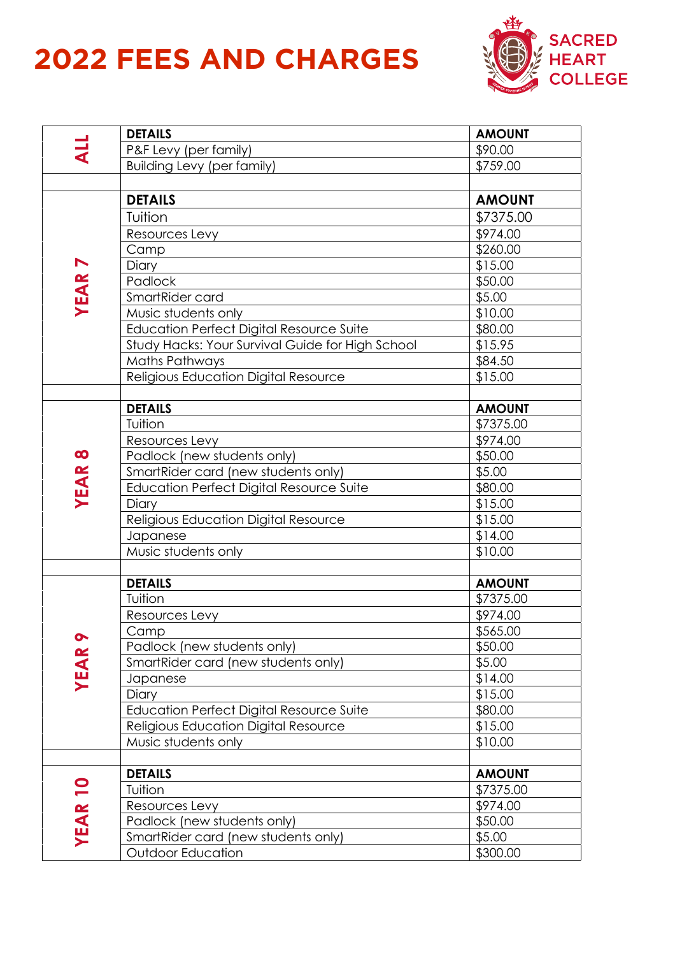## **2022 FEES AND CHARGES**



|                | <b>DETAILS</b>                                   | <b>AMOUNT</b> |
|----------------|--------------------------------------------------|---------------|
|                | P&F Levy (per family)                            | \$90.00       |
|                | <b>Building Levy (per family)</b>                | \$759.00      |
|                |                                                  |               |
| <b>YEAR7</b>   | <b>DETAILS</b>                                   | <b>AMOUNT</b> |
|                | Tuition                                          | \$7375.00     |
|                | Resources Levy                                   | \$974.00      |
|                | Camp                                             | \$260.00      |
|                | Diary                                            | \$15.00       |
|                | Padlock                                          | \$50.00       |
|                | SmartRider card                                  | \$5.00        |
|                | Music students only                              | \$10.00       |
|                | <b>Education Perfect Digital Resource Suite</b>  | \$80.00       |
|                | Study Hacks: Your Survival Guide for High School | \$15.95       |
|                | <b>Maths Pathways</b>                            | \$84.50       |
|                | Religious Education Digital Resource             | \$15.00       |
|                |                                                  |               |
|                | <b>DETAILS</b>                                   | <b>AMOUNT</b> |
|                | Tuition                                          | \$7375.00     |
|                | Resources Levy                                   | \$974.00      |
|                | Padlock (new students only)                      | \$50.00       |
| <b>YEAR8</b>   | SmartRider card (new students only)              | \$5.00        |
|                | <b>Education Perfect Digital Resource Suite</b>  | \$80.00       |
|                | Diary                                            | \$15.00       |
|                | Religious Education Digital Resource             | \$15.00       |
|                | Japanese                                         | \$14.00       |
|                | Music students only                              | \$10.00       |
|                |                                                  |               |
|                | <b>DETAILS</b>                                   | <b>AMOUNT</b> |
|                | Tuition                                          | \$7375.00     |
|                | Resources Levy                                   | \$974.00      |
| $\bullet$      | Camp                                             | \$565.00      |
|                | Padlock (new students only)                      | \$50.00       |
| <b>YEAR</b>    | SmartRider card (new students only)              | \$5.00        |
|                | Japanese                                         | \$14.00       |
|                | Diary                                            | \$15.00       |
|                | <b>Education Perfect Digital Resource Suite</b>  | \$80.00       |
|                | Religious Education Digital Resource             | \$15.00       |
|                | Music students only                              | \$10.00       |
|                |                                                  |               |
| <b>YEAR 10</b> | <b>DETAILS</b>                                   | <b>AMOUNT</b> |
|                | Tuition                                          | \$7375.00     |
|                | Resources Levy                                   | \$974.00      |
|                | Padlock (new students only)                      | \$50.00       |
|                | SmartRider card (new students only)              | \$5.00        |
|                | <b>Outdoor Education</b>                         | \$300.00      |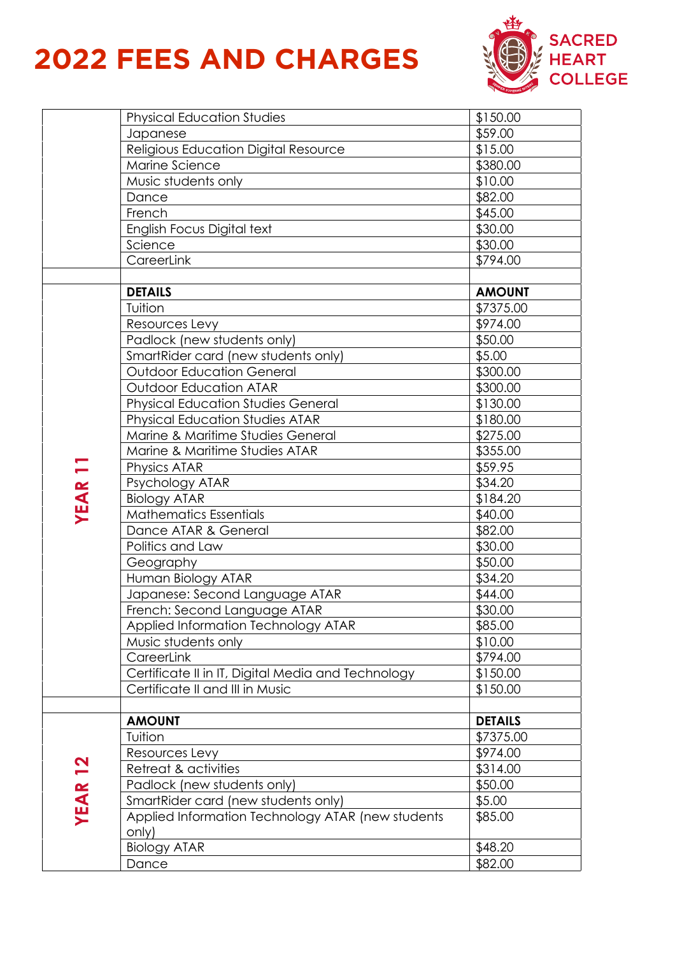## **2022 FEES AND CHARGES**



|               | <b>Physical Education Studies</b>                  | \$150.00       |
|---------------|----------------------------------------------------|----------------|
|               | Japanese                                           | \$59.00        |
|               | Religious Education Digital Resource               | \$15.00        |
|               | Marine Science                                     | \$380.00       |
|               | Music students only                                | \$10.00        |
|               | Dance                                              | \$82.00        |
|               | French                                             | \$45.00        |
|               | English Focus Digital text                         | \$30.00        |
|               | Science                                            | \$30.00        |
|               |                                                    |                |
|               | CareerLink                                         | \$794.00       |
|               |                                                    |                |
|               | <b>DETAILS</b>                                     | <b>AMOUNT</b>  |
|               | Tuition                                            | \$7375.00      |
|               | Resources Levy                                     | \$974.00       |
|               | Padlock (new students only)                        | \$50.00        |
|               | SmartRider card (new students only)                | \$5.00         |
|               | <b>Outdoor Education General</b>                   | \$300.00       |
|               | <b>Outdoor Education ATAR</b>                      | \$300.00       |
|               | <b>Physical Education Studies General</b>          | \$130.00       |
|               | <b>Physical Education Studies ATAR</b>             | \$180.00       |
|               | Marine & Maritime Studies General                  | \$275.00       |
|               | Marine & Maritime Studies ATAR                     | \$355.00       |
|               |                                                    | \$59.95        |
| <b>YEAR11</b> | Physics ATAR                                       |                |
|               | Psychology ATAR                                    | \$34.20        |
|               | <b>Biology ATAR</b>                                | \$184.20       |
|               | <b>Mathematics Essentials</b>                      | \$40.00        |
|               | Dance ATAR & General                               | \$82.00        |
|               | Politics and Law                                   | \$30.00        |
|               | Geography                                          | \$50.00        |
|               | Human Biology ATAR                                 | \$34.20        |
|               | Japanese: Second Language ATAR                     | \$44.00        |
|               | French: Second Language ATAR                       | \$30.00        |
|               | Applied Information Technology ATAR                | \$85.00        |
|               | Music students only                                | \$10.00        |
|               | CareerLink                                         | \$794.00       |
|               | Certificate II in IT, Digital Media and Technology | \$150.00       |
|               | Certificate II and III in Music                    | \$150.00       |
|               |                                                    |                |
|               | <b>AMOUNT</b>                                      | <b>DETAILS</b> |
|               | Tuition                                            | \$7375.00      |
|               |                                                    |                |
|               | Resources Levy                                     | \$974.00       |
| <u>21</u>     | Retreat & activities                               | \$314.00       |
|               | Padlock (new students only)                        | \$50.00        |
|               | SmartRider card (new students only)                | \$5.00         |
| <b>YEAR</b>   | Applied Information Technology ATAR (new students  | \$85.00        |
|               | only)                                              |                |
|               | <b>Biology ATAR</b>                                | \$48.20        |
|               | Dance                                              | \$82.00        |